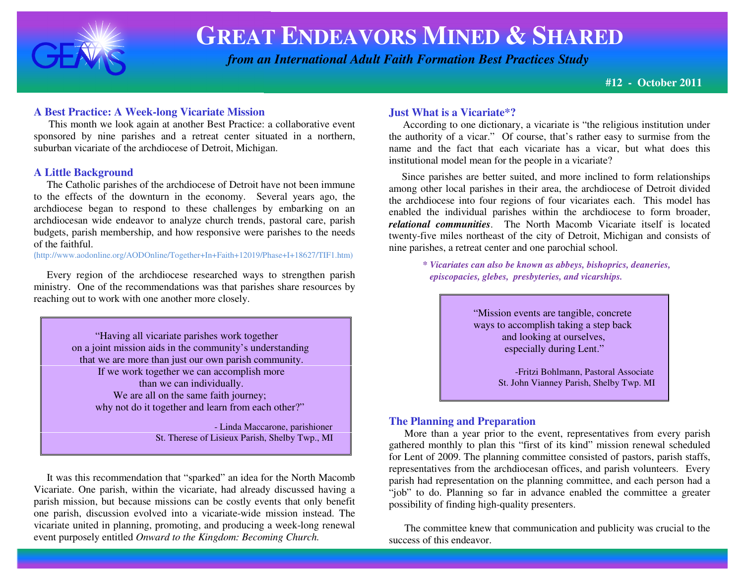

 *from an International Adult Faith Formation Best Practices Study*

**#12 - October 2011**

#### **A Best Practice: A Week-long Vicariate Mission**

 This month we look again at another Best Practice: a collaborative event sponsored by nine parishes and a retreat center situated in a northern, suburban vicariate of the archdiocese of Detroit, Michigan.

#### **A Little Background**

 The Catholic parishes of the archdiocese of Detroit have not been immune to the effects of the downturn in the economy. Several years ago, the archdiocese began to respond to these challenges by embarking on an archdiocesan wide endeavor to analyze church trends, pastoral care, parish budgets, parish membership, and how responsive were parishes to the needs of the faithful.

(http://www.aodonline.org/AODOnline/Together+In+Faith+12019/Phase+I+18627/TIF1.htm)

 Every region of the archdiocese researched ways to strengthen parish ministry. One of the recommendations was that parishes share resources by reaching out to work with one another more closely.

> "Having all vicariate parishes work together on a joint mission aids in the community's understanding that we are more than just our own parish community. If we work together we can accomplish more than we can individually.We are all on the same faith journey; why not do it together and learn from each other?"

 - Linda Maccarone, parishioner St. Therese of Lisieux Parish, Shelby Twp., MI

 It was this recommendation that "sparked" an idea for the North Macomb Vicariate. One parish, within the vicariate, had already discussed having a parish mission, but because missions can be costly events that only benefit one parish, discussion evolved into a vicariate-wide mission instead. The vicariate united in planning, promoting, and producing a week-long renewal event purposely entitled *Onward to the Kingdom: Becoming Church.* 

#### **Just What is a Vicariate\*?**

 According to one dictionary, a vicariate is "the religious institution under the authority of a vicar." Of course, that's rather easy to surmise from the name and the fact that each vicariate has a vicar, but what does this institutional model mean for the people in a vicariate?

 Since parishes are better suited, and more inclined to form relationships among other local parishes in their area, the archdiocese of Detroit divided the archdiocese into four regions of four vicariates each. This model has enabled the individual parishes within the archdiocese to form broader, *relational communities*. The North Macomb Vicariate itself is located twenty-five miles northeast of the city of Detroit, Michigan and consists of nine parishes, a retreat center and one parochial school.

> *\* Vicariates can also be known as abbeys, bishoprics, deaneries, episcopacies, glebes, presbyteries, and vicarships.*

> > "Mission events are tangible, concrete ways to accomplish taking a step back and looking at ourselves, especially during Lent."

-Fritzi Bohlmann, Pastoral Associate St. John Vianney Parish, Shelby Twp. MI

#### **The Planning and Preparation**

 More than a year prior to the event, representatives from every parish gathered monthly to plan this "first of its kind" mission renewal scheduled for Lent of 2009. The planning committee consisted of pastors, parish staffs, representatives from the archdiocesan offices, and parish volunteers. Every parish had representation on the planning committee, and each person had a "job" to do. Planning so far in advance enabled the committee a greater possibility of finding high-quality presenters.

 The committee knew that communication and publicity was crucial to the success of this endeavor.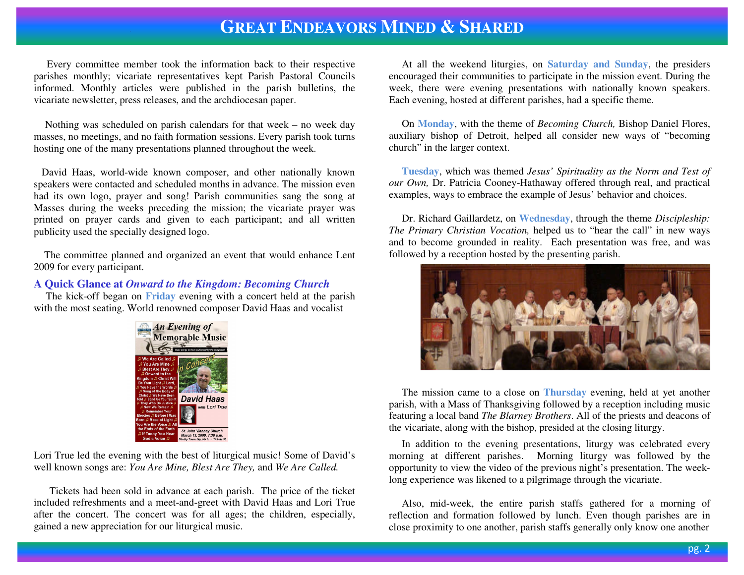Every committee member took the information back to their respective parishes monthly; vicariate representatives kept Parish Pastoral Councils informed. Monthly articles were published in the parish bulletins, the vicariate newsletter, press releases, and the archdiocesan paper.

Nothing was scheduled on parish calendars for that week – no week day masses, no meetings, and no faith formation sessions. Every parish took turns hosting one of the many presentations planned throughout the week.

 David Haas, world-wide known composer, and other nationally known speakers were contacted and scheduled months in advance. The mission even had its own logo, prayer and song! Parish communities sang the song at Masses during the weeks preceding the mission; the vicariate prayer was printed on prayer cards and given to each participant; and all written publicity used the specially designed logo.

 The committee planned and organized an event that would enhance Lent 2009 for every participant.

#### **A Quick Glance at** *Onward to the Kingdom: Becoming Church*

 The kick-off began on **Friday** evening with a concert held at the parish with the most seating. World renowned composer David Haas and vocalist



Lori True led the evening with the best of liturgical music! Some of David's well known songs are: *You Are Mine, Blest Are They,* and *We Are Called.* 

Tickets had been sold in advance at each parish. The price of the ticket included refreshments and a meet-and-greet with David Haas and Lori True after the concert. The concert was for all ages; the children, especially, gained a new appreciation for our liturgical music.

 At all the weekend liturgies, on **Saturday and Sunday**, the presiders encouraged their communities to participate in the mission event. During the week, there were evening presentations with nationally known speakers. Each evening, hosted at different parishes, had a specific theme.

 On **Monday**, with the theme of *Becoming Church,* Bishop Daniel Flores, auxiliary bishop of Detroit, helped all consider new ways of "becoming church" in the larger context.

**Tuesday**, which was themed *Jesus' Spirituality as the Norm and Test of our Own,* Dr. Patricia Cooney-Hathaway offered through real, and practical examples, ways to embrace the example of Jesus' behavior and choices.

 Dr. Richard Gaillardetz, on **Wednesday**, through the theme *Discipleship: The Primary Christian Vocation,* helped us to "hear the call" in new ways and to become grounded in reality. Each presentation was free, and was followed by a reception hosted by the presenting parish.



 The mission came to a close on **Thursday** evening, held at yet another parish, with a Mass of Thanksgiving followed by a reception including music featuring a local band *The Blarney Brothers*. All of the priests and deacons of the vicariate, along with the bishop, presided at the closing liturgy.

 In addition to the evening presentations, liturgy was celebrated every morning at different parishes. Morning liturgy was followed by the opportunity to view the video of the previous night's presentation. The weeklong experience was likened to a pilgrimage through the vicariate.

 Also, mid-week, the entire parish staffs gathered for a morning of reflection and formation followed by lunch. Even though parishes are in close proximity to one another, parish staffs generally only know one another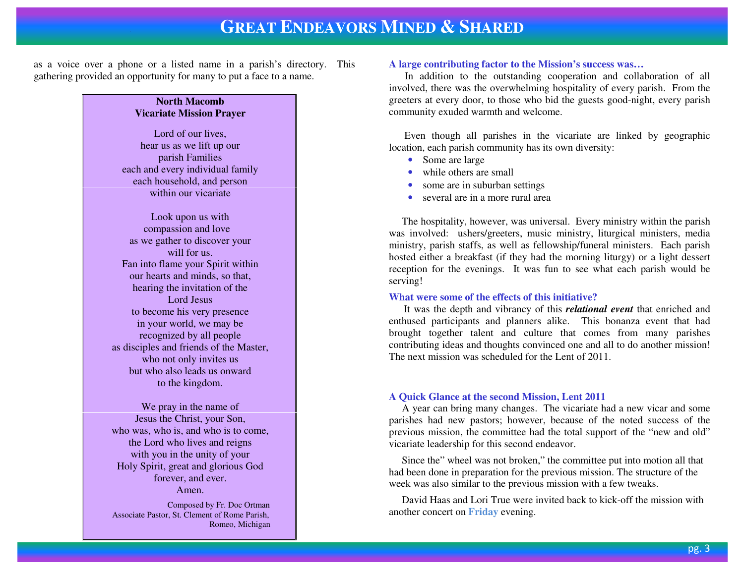as a voice over a phone or a listed name in a parish's directory. This gathering provided an opportunity for many to put a face to a name.

#### **North Macomb Vicariate Mission Prayer**

Lord of our lives, hear us as we lift up our parish Families each and every individual family each household, and person within our vicariate

Look upon us with compassion and love as we gather to discover your will for us. Fan into flame your Spirit within our hearts and minds, so that, hearing the invitation of the Lord Jesus to become his very presence in your world, we may be recognized by all people as disciples and friends of the Master, who not only invites us but who also leads us onward to the kingdom.

We pray in the name of Jesus the Christ, your Son, who was, who is, and who is to come, the Lord who lives and reigns with you in the unity of your Holy Spirit, great and glorious God forever, and ever. Amen.

 Composed by Fr. Doc Ortman Associate Pastor, St. Clement of Rome Parish, Romeo, Michigan

#### **A large contributing factor to the Mission's success was…**

 In addition to the outstanding cooperation and collaboration of all involved, there was the overwhelming hospitality of every parish. From the greeters at every door, to those who bid the guests good-night, every parish community exuded warmth and welcome.

 Even though all parishes in the vicariate are linked by geographic location, each parish community has its own diversity:

- Some are large
- while others are small
- some are in suburban settings
- •several are in a more rural area

 The hospitality, however, was universal. Every ministry within the parish was involved: ushers/greeters, music ministry, liturgical ministers, media ministry, parish staffs, as well as fellowship/funeral ministers. Each parish hosted either a breakfast (if they had the morning liturgy) or a light dessert reception for the evenings. It was fun to see what each parish would be serving!

#### **What were some of the effects of this initiative?**

 It was the depth and vibrancy of this *relational event* that enriched and enthused participants and planners alike. This bonanza event that had brought together talent and culture that comes from many parishes contributing ideas and thoughts convinced one and all to do another mission! The next mission was scheduled for the Lent of 2011.

#### **A Quick Glance at the second Mission, Lent 2011**

 A year can bring many changes. The vicariate had a new vicar and some parishes had new pastors; however, because of the noted success of the previous mission, the committee had the total support of the "new and old" vicariate leadership for this second endeavor.

 Since the" wheel was not broken," the committee put into motion all that had been done in preparation for the previous mission. The structure of the week was also similar to the previous mission with a few tweaks.

 David Haas and Lori True were invited back to kick-off the mission with another concert on **Friday** evening.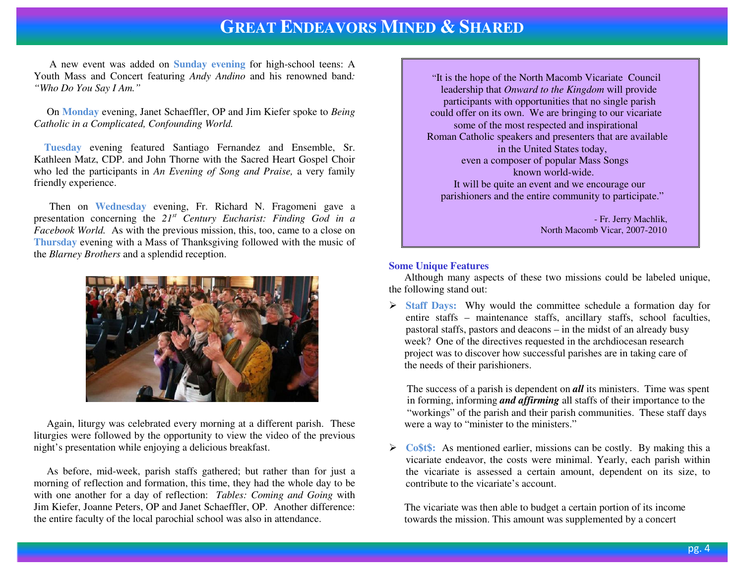A new event was added on **Sunday evening** for high-school teens: A Youth Mass and Concert featuring *Andy Andino* and his renowned band*: "Who Do You Say I Am."*

 On **Monday** evening, Janet Schaeffler, OP and Jim Kiefer spoke to *Being Catholic in a Complicated, Confounding World.* 

**Tuesday** evening featured Santiago Fernandez and Ensemble, Sr. Kathleen Matz, CDP. and John Thorne with the Sacred Heart Gospel Choir who led the participants in *An Evening of Song and Praise,* a very family friendly experience.

 Then on **Wednesday** evening, Fr. Richard N. Fragomeni gave a presentation concerning the *21st Century Eucharist: Finding God in a Facebook World.* As with the previous mission, this, too, came to a close on **Thursday** evening with a Mass of Thanksgiving followed with the music of the *Blarney Brothers* and a splendid reception.



 Again, liturgy was celebrated every morning at a different parish. These liturgies were followed by the opportunity to view the video of the previous night's presentation while enjoying a delicious breakfast.

 As before, mid-week, parish staffs gathered; but rather than for just a morning of reflection and formation, this time, they had the whole day to be with one another for a day of reflection: *Tables: Coming and Going* with Jim Kiefer, Joanne Peters, OP and Janet Schaeffler, OP. Another difference: the entire faculty of the local parochial school was also in attendance.

 "It is the hope of the North Macomb Vicariate Council leadership that *Onward to the Kingdom* will provide participants with opportunities that no single parish could offer on its own. We are bringing to our vicariate some of the most respected and inspirational Roman Catholic speakers and presenters that are available in the United States today, even a composer of popular Mass Songs known world-wide. It will be quite an event and we encourage our parishioners and the entire community to participate."

 - Fr. Jerry Machlik, North Macomb Vicar, 2007-2010

#### **Some Unique Features**

 Although many aspects of these two missions could be labeled unique, the following stand out:

**Staff Days:** Why would the committee schedule a formation day for entire staffs enough the mointenance staffs enoughly staffs enoughly entire staffs – maintenance staffs, ancillary staffs, school faculties, pastoral staffs, pastors and deacons – in the midst of an already busy week? One of the directives requested in the archdiocesan research project was to discover how successful parishes are in taking care of the needs of their parishioners.

 The success of a parish is dependent on *all* its ministers. Time was spent in forming, informing *and affirming* all staffs of their importance to the "workings" of the parish and their parish communities. These staff days were a way to "minister to the ministers."

**Co\$t\$:** As mentioned earlier, missions can be costly. By making this a vicevicariate endeavor, the costs were minimal. Yearly, each parish within the vicariate is assessed a certain amount, dependent on its size, to contribute to the vicariate's account.

 The vicariate was then able to budget a certain portion of its income towards the mission. This amount was supplemented by a concert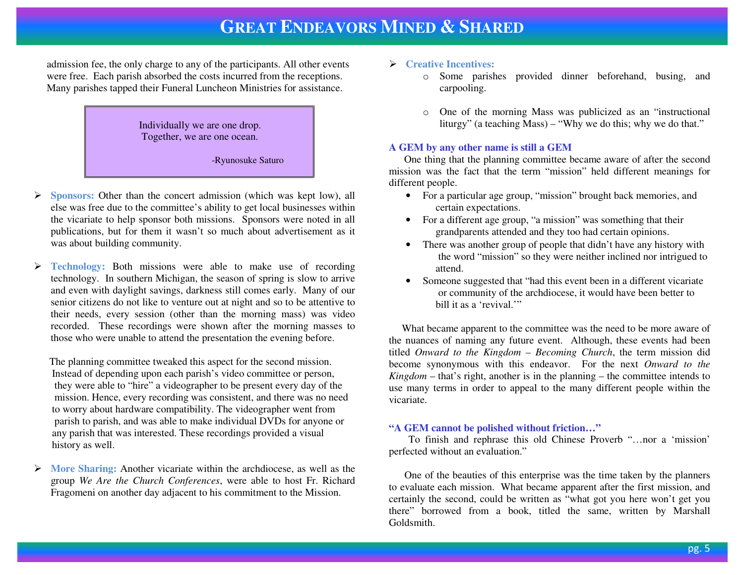admission fee, the only charge to any of the participants. All other events were free. Each parish absorbed the costs incurred from the receptions. Many parishes tapped their Funeral Luncheon Ministries for assistance.



- ➤ **Sponsors:** Other than the concert admission (which was kept low), all else was free due to the committee's ability to get local businesses within the vicariate to help sponsor both missions. Sponsors were noted in all publications, but for them it wasn't so much about advertisement as it was about building community.
- $\blacktriangleright$  **Technology:** Both missions were able to make use of recording technology. In southern Michigan, the season of spring is slow to arrive and even with daylight savings, darkness still comes early. Many of our senior citizens do not like to venture out at night and so to be attentive to their needs, every session (other than the morning mass) was video recorded. These recordings were shown after the morning masses to those who were unable to attend the presentation the evening before.

 The planning committee tweaked this aspect for the second mission. Instead of depending upon each parish's video committee or person, they were able to "hire" a videographer to be present every day of the mission. Hence, every recording was consistent, and there was no need to worry about hardware compatibility. The videographer went from parish to parish, and was able to make individual DVDs for anyone or any parish that was interested. These recordings provided a visual history as well.

 $\blacktriangleright$  **More Sharing:** Another vicariate within the archdiocese, as well as the group *We Are the Church Conferences*, were able to host Fr. Richard Fragomeni on another day adjacent to his commitment to the Mission.

### **Creative Incentives:**

- o Some parishes provided dinner beforehand, busing, and carpooling.
- o One of the morning Mass was publicized as an "instructional liturgy" (a teaching Mass) – "Why we do this; why we do that."

#### **A GEM by any other name is still a GEM**

 One thing that the planning committee became aware of after the second mission was the fact that the term "mission" held different meanings for different people.

- For a particular age group, "mission" brought back memories, and certain expectations.
- For a different age group, "a mission" was something that their grandparents attended and they too had certain opinions.
- There was another group of people that didn't have any history with the word "mission" so they were neither inclined nor intrigued to attend.
- Someone suggested that "had this event been in a different vicariate" or community of the archdiocese, it would have been better to bill it as a 'revival.'"

 What became apparent to the committee was the need to be more aware of the nuances of naming any future event. Although, these events had been titled *Onward to the Kingdom – Becoming Church*, the term mission did become synonymous with this endeavor. For the next *Onward to the Kingdom* – that's right, another is in the planning – the committee intends to use many terms in order to appeal to the many different people within the vicariate.

#### **"A GEM cannot be polished without friction…"**

 To finish and rephrase this old Chinese Proverb "…nor a 'mission' perfected without an evaluation."

 One of the beauties of this enterprise was the time taken by the planners to evaluate each mission. What became apparent after the first mission, and certainly the second, could be written as "what got you here won't get you there" borrowed from a book, titled the same, written by Marshall Goldsmith.